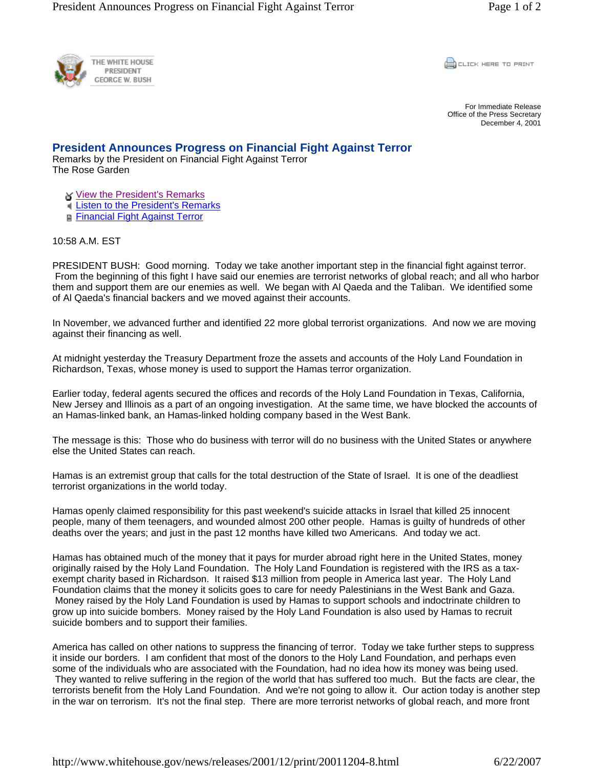

**CLICK HERE TO PRINT** 

For Immediate Release Office of the Press Secretary December 4, 2001

## **President Announces Progress on Financial Fight Against Terror**

Remarks by the President on Financial Fight Against Terror The Rose Garden

- Y View the President's Remarks
- **Listen to the President's Remarks**
- **Financial Fight Against Terror**

10:58 A.M. EST

PRESIDENT BUSH: Good morning. Today we take another important step in the financial fight against terror. From the beginning of this fight I have said our enemies are terrorist networks of global reach; and all who harbor them and support them are our enemies as well. We began with Al Qaeda and the Taliban. We identified some of Al Qaeda's financial backers and we moved against their accounts.

In November, we advanced further and identified 22 more global terrorist organizations. And now we are moving against their financing as well.

At midnight yesterday the Treasury Department froze the assets and accounts of the Holy Land Foundation in Richardson, Texas, whose money is used to support the Hamas terror organization.

Earlier today, federal agents secured the offices and records of the Holy Land Foundation in Texas, California, New Jersey and Illinois as a part of an ongoing investigation. At the same time, we have blocked the accounts of an Hamas-linked bank, an Hamas-linked holding company based in the West Bank.

The message is this: Those who do business with terror will do no business with the United States or anywhere else the United States can reach.

Hamas is an extremist group that calls for the total destruction of the State of Israel. It is one of the deadliest terrorist organizations in the world today.

Hamas openly claimed responsibility for this past weekend's suicide attacks in Israel that killed 25 innocent people, many of them teenagers, and wounded almost 200 other people. Hamas is guilty of hundreds of other deaths over the years; and just in the past 12 months have killed two Americans. And today we act.

Hamas has obtained much of the money that it pays for murder abroad right here in the United States, money originally raised by the Holy Land Foundation. The Holy Land Foundation is registered with the IRS as a taxexempt charity based in Richardson. It raised \$13 million from people in America last year. The Holy Land Foundation claims that the money it solicits goes to care for needy Palestinians in the West Bank and Gaza. Money raised by the Holy Land Foundation is used by Hamas to support schools and indoctrinate children to grow up into suicide bombers. Money raised by the Holy Land Foundation is also used by Hamas to recruit suicide bombers and to support their families.

America has called on other nations to suppress the financing of terror. Today we take further steps to suppress it inside our borders. I am confident that most of the donors to the Holy Land Foundation, and perhaps even some of the individuals who are associated with the Foundation, had no idea how its money was being used. They wanted to relive suffering in the region of the world that has suffered too much. But the facts are clear, the terrorists benefit from the Holy Land Foundation. And we're not going to allow it. Our action today is another step in the war on terrorism. It's not the final step. There are more terrorist networks of global reach, and more front